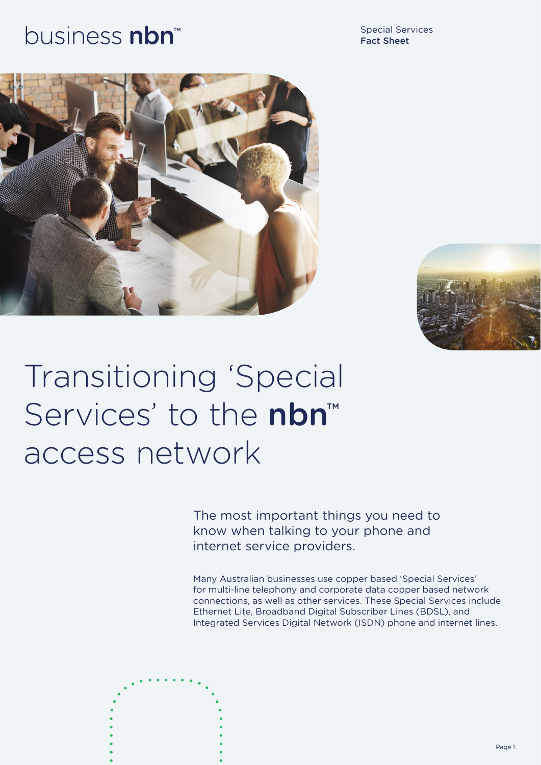## business nbn<sup>™</sup>

Special Services Fact Sheet





# Transitioning 'Special Services' to the nbn<sup>™</sup> access network

The most important things you need to know when talking to your phone and internet service providers.

Many Australian businesses use copper based 'Special Services' for multi-line telephony and corporate data copper based network connections, as well as other services. These Special Services include Ethernet Lite, Broadband Digital Subscriber Lines (BDSL), and Integrated Services Digital Network (ISDN) phone and internet lines.